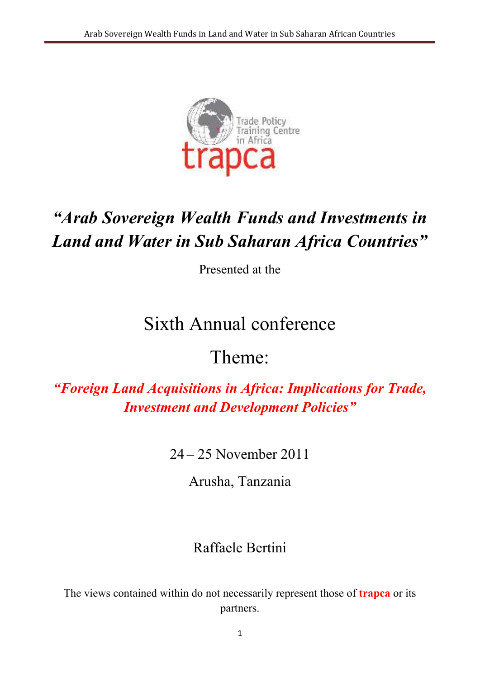

# *"Arab Sovereign Wealth Funds and Investments in Land and Water in Sub Saharan Africa Countries"*

Presented at the

# Sixth Annual conference

# Theme:

*"Foreign Land Acquisitions in Africa: Implications for Trade, Investment and Development Policies"*

24 – 25 November 2011

Arusha, Tanzania

## Raffaele Bertini

The views contained within do not necessarily represent those of **trapca** or its partners.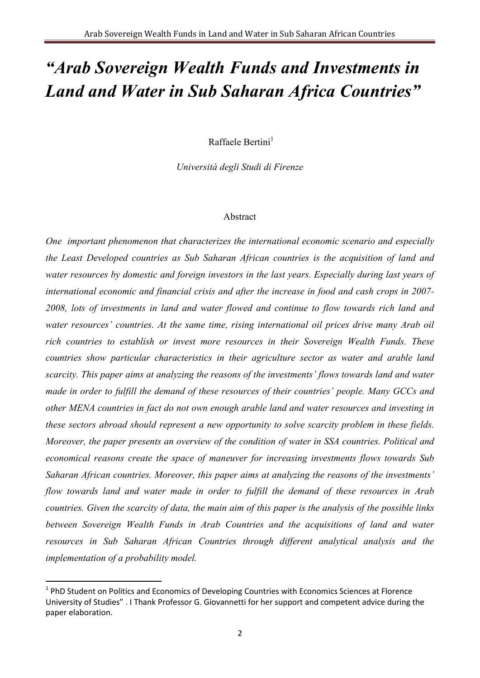# *"Arab Sovereign Wealth Funds and Investments in Land and Water in Sub Saharan Africa Countries"*

Raffaele Bertini $<sup>1</sup>$ </sup>

*Università degli Studi di Firenze* 

#### Abstract

*One important phenomenon that characterizes the international economic scenario and especially the Least Developed countries as Sub Saharan African countries is the acquisition of land and water resources by domestic and foreign investors in the last years. Especially during last years of international economic and financial crisis and after the increase in food and cash crops in 2007- 2008, lots of investments in land and water flowed and continue to flow towards rich land and water resources' countries. At the same time, rising international oil prices drive many Arab oil rich countries to establish or invest more resources in their Sovereign Wealth Funds. These countries show particular characteristics in their agriculture sector as water and arable land scarcity. This paper aims at analyzing the reasons of the investments' flows towards land and water made in order to fulfill the demand of these resources of their countries' people. Many GCCs and other ME/A countries in fact do not own enough arable land and water resources and investing in these sectors abroad should represent a new opportunity to solve scarcity problem in these fields. Moreover, the paper presents an overview of the condition of water in SSA countries. Political and economical reasons create the space of maneuver for increasing investments flows towards Sub Saharan African countries. Moreover, this paper aims at analyzing the reasons of the investments' flow towards land and water made in order to fulfill the demand of these resources in Arab countries. Given the scarcity of data, the main aim of this paper is the analysis of the possible links between Sovereign Wealth Funds in Arab Countries and the acquisitions of land and water resources in Sub Saharan African Countries through different analytical analysis and the implementation of a probability model.* 

<u>.</u>

<sup>&</sup>lt;sup>1</sup> PhD Student on Politics and Economics of Developing Countries with Economics Sciences at Florence University of Studies" . I Thank Professor G. Giovannetti for her support and competent advice during the paper elaboration.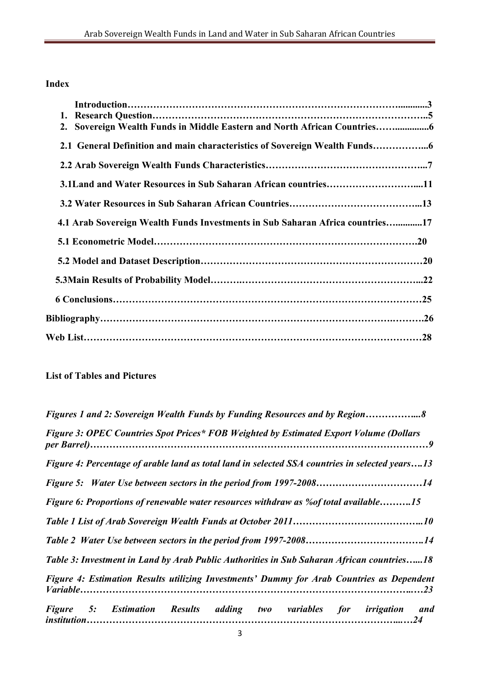### **Index**

| 1.                                                                            |
|-------------------------------------------------------------------------------|
| 2. Sovereign Wealth Funds in Middle Eastern and North African Countries       |
| 2.1 General Definition and main characteristics of Sovereign Wealth Funds     |
|                                                                               |
| 3.1Land and Water Resources in Sub Saharan African countries11                |
|                                                                               |
| 4.1 Arab Sovereign Wealth Funds Investments in Sub Saharan Africa countries17 |
|                                                                               |
|                                                                               |
|                                                                               |
|                                                                               |
|                                                                               |
|                                                                               |

### **List of Tables and Pictures**

| Figures 1 and 2: Sovereign Wealth Funds by Funding Resources and by Region8                     |
|-------------------------------------------------------------------------------------------------|
| Figure 3: OPEC Countries Spot Prices* FOB Weighted by Estimated Export Volume (Dollars          |
| Figure 4: Percentage of arable land as total land in selected SSA countries in selected years13 |
|                                                                                                 |
| Figure 6: Proportions of renewable water resources withdraw as % of total available15           |
|                                                                                                 |
|                                                                                                 |
| Table 3: Investment in Land by Arab Public Authorities in Sub Saharan African countries18       |
| Figure 4: Estimation Results utilizing Investments' Dummy for Arab Countries as Dependent       |
| Figure 5: Estimation Results adding two variables for irrigation and                            |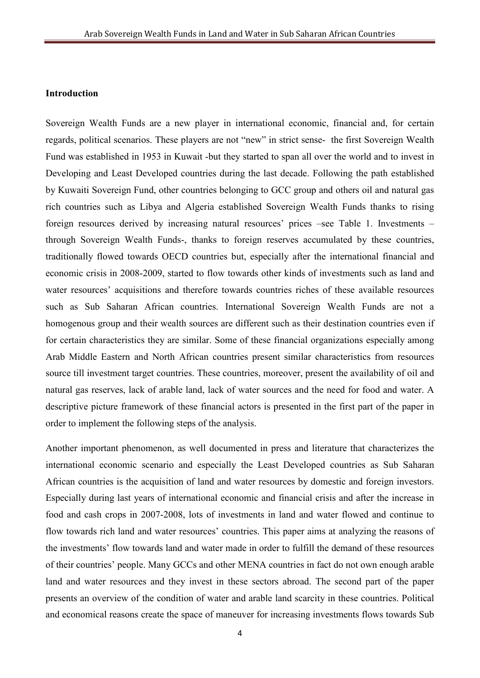#### **Introduction**

Sovereign Wealth Funds are a new player in international economic, financial and, for certain regards, political scenarios. These players are not "new" in strict sense- the first Sovereign Wealth Fund was established in 1953 in Kuwait -but they started to span all over the world and to invest in Developing and Least Developed countries during the last decade. Following the path established by Kuwaiti Sovereign Fund, other countries belonging to GCC group and others oil and natural gas rich countries such as Libya and Algeria established Sovereign Wealth Funds thanks to rising foreign resources derived by increasing natural resources' prices –see Table 1. Investments – through Sovereign Wealth Funds-, thanks to foreign reserves accumulated by these countries, traditionally flowed towards OECD countries but, especially after the international financial and economic crisis in 2008-2009, started to flow towards other kinds of investments such as land and water resources' acquisitions and therefore towards countries riches of these available resources such as Sub Saharan African countries. International Sovereign Wealth Funds are not a homogenous group and their wealth sources are different such as their destination countries even if for certain characteristics they are similar. Some of these financial organizations especially among Arab Middle Eastern and North African countries present similar characteristics from resources source till investment target countries. These countries, moreover, present the availability of oil and natural gas reserves, lack of arable land, lack of water sources and the need for food and water. A descriptive picture framework of these financial actors is presented in the first part of the paper in order to implement the following steps of the analysis.

Another important phenomenon, as well documented in press and literature that characterizes the international economic scenario and especially the Least Developed countries as Sub Saharan African countries is the acquisition of land and water resources by domestic and foreign investors. Especially during last years of international economic and financial crisis and after the increase in food and cash crops in 2007-2008, lots of investments in land and water flowed and continue to flow towards rich land and water resources' countries. This paper aims at analyzing the reasons of the investments' flow towards land and water made in order to fulfill the demand of these resources of their countries' people. Many GCCs and other MENA countries in fact do not own enough arable land and water resources and they invest in these sectors abroad. The second part of the paper presents an overview of the condition of water and arable land scarcity in these countries. Political and economical reasons create the space of maneuver for increasing investments flows towards Sub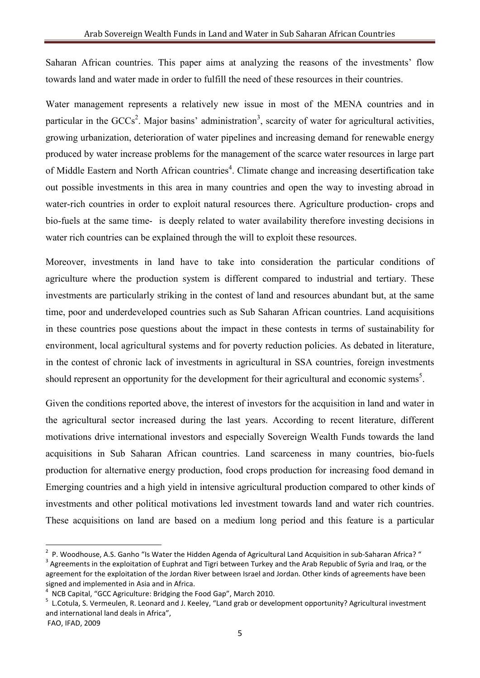Saharan African countries. This paper aims at analyzing the reasons of the investments' flow towards land and water made in order to fulfill the need of these resources in their countries.

Water management represents a relatively new issue in most of the MENA countries and in particular in the  $GCCs<sup>2</sup>$ . Major basins' administration<sup>3</sup>, scarcity of water for agricultural activities, growing urbanization, deterioration of water pipelines and increasing demand for renewable energy produced by water increase problems for the management of the scarce water resources in large part of Middle Eastern and North African countries<sup>4</sup>. Climate change and increasing desertification take out possible investments in this area in many countries and open the way to investing abroad in water-rich countries in order to exploit natural resources there. Agriculture production- crops and bio-fuels at the same time- is deeply related to water availability therefore investing decisions in water rich countries can be explained through the will to exploit these resources.

Moreover, investments in land have to take into consideration the particular conditions of agriculture where the production system is different compared to industrial and tertiary. These investments are particularly striking in the contest of land and resources abundant but, at the same time, poor and underdeveloped countries such as Sub Saharan African countries. Land acquisitions in these countries pose questions about the impact in these contests in terms of sustainability for environment, local agricultural systems and for poverty reduction policies. As debated in literature, in the contest of chronic lack of investments in agricultural in SSA countries, foreign investments should represent an opportunity for the development for their agricultural and economic systems<sup>5</sup>.

Given the conditions reported above, the interest of investors for the acquisition in land and water in the agricultural sector increased during the last years. According to recent literature, different motivations drive international investors and especially Sovereign Wealth Funds towards the land acquisitions in Sub Saharan African countries. Land scarceness in many countries, bio-fuels production for alternative energy production, food crops production for increasing food demand in Emerging countries and a high yield in intensive agricultural production compared to other kinds of investments and other political motivations led investment towards land and water rich countries. These acquisitions on land are based on a medium long period and this feature is a particular

<sup>&</sup>lt;sup>2</sup> P. Woodhouse, A.S. Ganho "Is Water the Hidden Agenda of Agricultural Land Acquisition in sub-Saharan Africa? "

 $3$  Agreements in the exploitation of Euphrat and Tigri between Turkey and the Arab Republic of Syria and Iraq, or the agreement for the exploitation of the Jordan River between Israel and Jordan. Other kinds of agreements have been signed and implemented in Asia and in Africa.

<sup>4</sup> NCB Capital, "GCC Agriculture: Bridging the Food Gap", March 2010.

<sup>&</sup>lt;sup>5</sup> L.Cotula, S. Vermeulen, R. Leonard and J. Keeley, "Land grab or development opportunity? Agricultural investment and international land deals in Africa",

FAO, IFAD, 2009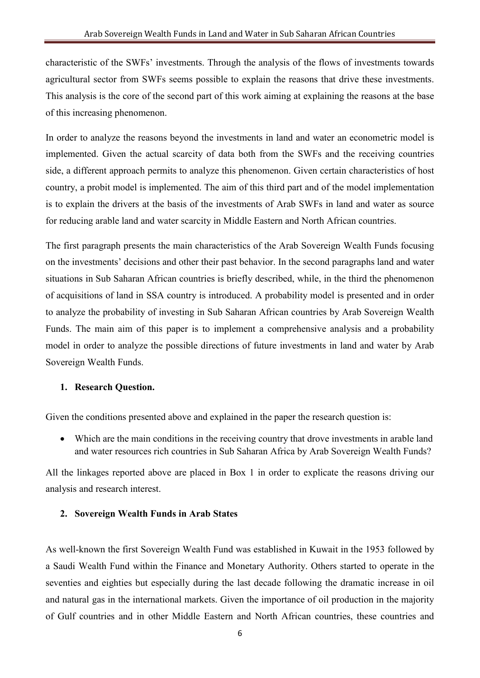characteristic of the SWFs' investments. Through the analysis of the flows of investments towards agricultural sector from SWFs seems possible to explain the reasons that drive these investments. This analysis is the core of the second part of this work aiming at explaining the reasons at the base of this increasing phenomenon.

In order to analyze the reasons beyond the investments in land and water an econometric model is implemented. Given the actual scarcity of data both from the SWFs and the receiving countries side, a different approach permits to analyze this phenomenon. Given certain characteristics of host country, a probit model is implemented. The aim of this third part and of the model implementation is to explain the drivers at the basis of the investments of Arab SWFs in land and water as source for reducing arable land and water scarcity in Middle Eastern and North African countries.

The first paragraph presents the main characteristics of the Arab Sovereign Wealth Funds focusing on the investments' decisions and other their past behavior. In the second paragraphs land and water situations in Sub Saharan African countries is briefly described, while, in the third the phenomenon of acquisitions of land in SSA country is introduced. A probability model is presented and in order to analyze the probability of investing in Sub Saharan African countries by Arab Sovereign Wealth Funds. The main aim of this paper is to implement a comprehensive analysis and a probability model in order to analyze the possible directions of future investments in land and water by Arab Sovereign Wealth Funds.

#### **1. Research Question.**

Given the conditions presented above and explained in the paper the research question is:

• Which are the main conditions in the receiving country that drove investments in arable land and water resources rich countries in Sub Saharan Africa by Arab Sovereign Wealth Funds?

All the linkages reported above are placed in Box 1 in order to explicate the reasons driving our analysis and research interest.

#### **2. Sovereign Wealth Funds in Arab States**

As well-known the first Sovereign Wealth Fund was established in Kuwait in the 1953 followed by a Saudi Wealth Fund within the Finance and Monetary Authority. Others started to operate in the seventies and eighties but especially during the last decade following the dramatic increase in oil and natural gas in the international markets. Given the importance of oil production in the majority of Gulf countries and in other Middle Eastern and North African countries, these countries and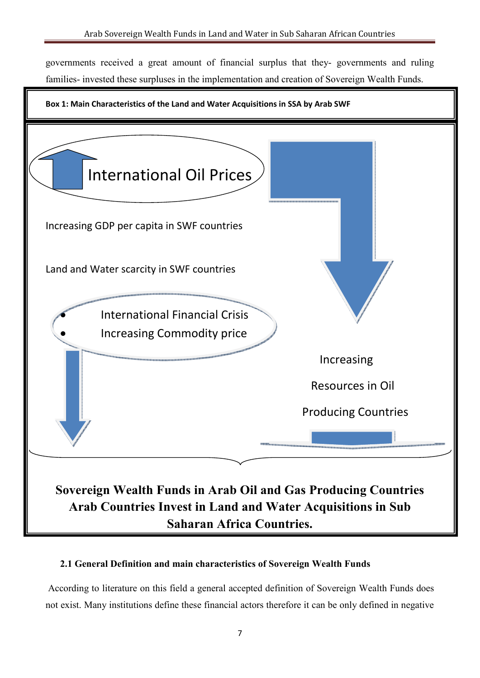governments received a great amount of financial surplus that they- governments and ruling families- invested these surpluses in the implementation and creation of Sovereign Wealth Funds.



#### **2.1 General Definition and main characteristics of Sovereign Wealth Funds**

 According to literature on this field a general accepted definition of Sovereign Wealth Funds does not exist. Many institutions define these financial actors therefore it can be only defined in negative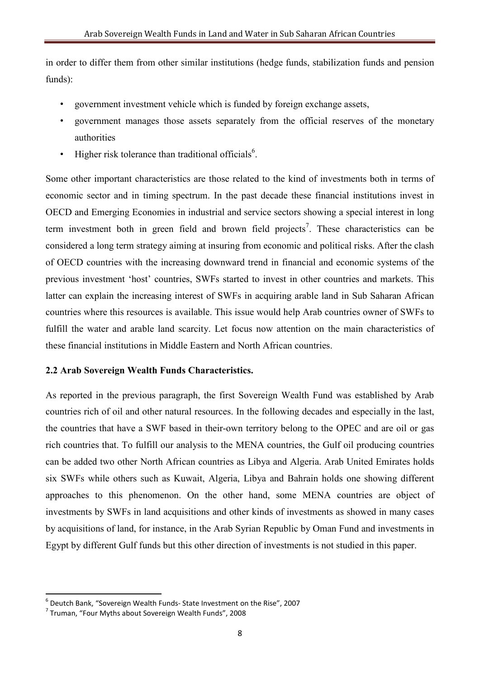in order to differ them from other similar institutions (hedge funds, stabilization funds and pension funds):

- government investment vehicle which is funded by foreign exchange assets,
- government manages those assets separately from the official reserves of the monetary authorities
- Higher risk tolerance than traditional officials<sup>6</sup>.

Some other important characteristics are those related to the kind of investments both in terms of economic sector and in timing spectrum. In the past decade these financial institutions invest in OECD and Emerging Economies in industrial and service sectors showing a special interest in long term investment both in green field and brown field projects<sup>7</sup>. These characteristics can be considered a long term strategy aiming at insuring from economic and political risks. After the clash of OECD countries with the increasing downward trend in financial and economic systems of the previous investment 'host' countries, SWFs started to invest in other countries and markets. This latter can explain the increasing interest of SWFs in acquiring arable land in Sub Saharan African countries where this resources is available. This issue would help Arab countries owner of SWFs to fulfill the water and arable land scarcity. Let focus now attention on the main characteristics of these financial institutions in Middle Eastern and North African countries.

#### **2.2 Arab Sovereign Wealth Funds Characteristics.**

As reported in the previous paragraph, the first Sovereign Wealth Fund was established by Arab countries rich of oil and other natural resources. In the following decades and especially in the last, the countries that have a SWF based in their-own territory belong to the OPEC and are oil or gas rich countries that. To fulfill our analysis to the MENA countries, the Gulf oil producing countries can be added two other North African countries as Libya and Algeria. Arab United Emirates holds six SWFs while others such as Kuwait, Algeria, Libya and Bahrain holds one showing different approaches to this phenomenon. On the other hand, some MENA countries are object of investments by SWFs in land acquisitions and other kinds of investments as showed in many cases by acquisitions of land, for instance, in the Arab Syrian Republic by Oman Fund and investments in Egypt by different Gulf funds but this other direction of investments is not studied in this paper.

<sup>6</sup> Deutch Bank, "Sovereign Wealth Funds- State Investment on the Rise", 2007

<sup>&</sup>lt;sup>7</sup> Truman, "Four Myths about Sovereign Wealth Funds", 2008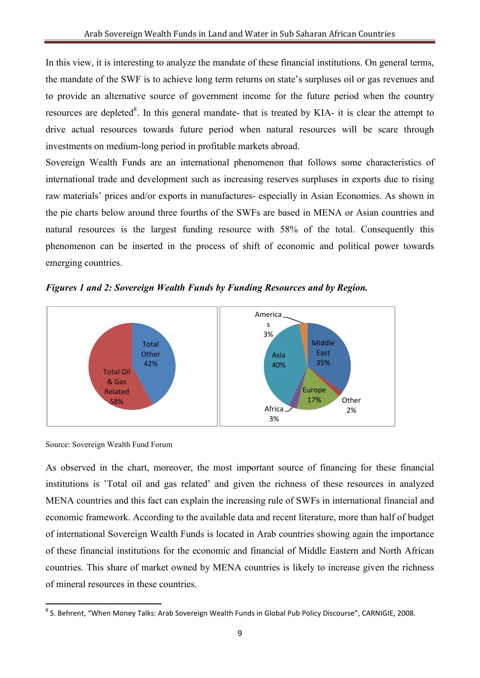In this view, it is interesting to analyze the mandate of these financial institutions. On general terms, the mandate of the SWF is to achieve long term returns on state's surpluses oil or gas revenues and to provide an alternative source of government income for the future period when the country resources are depleted<sup>8</sup>. In this general mandate- that is treated by KIA- it is clear the attempt to drive actual resources towards future period when natural resources will be scare through investments on medium-long period in profitable markets abroad.

Sovereign Wealth Funds are an international phenomenon that follows some characteristics of international trade and development such as increasing reserves surpluses in exports due to rising raw materials' prices and/or exports in manufactures- especially in Asian Economies. As shown in the pie charts below around three fourths of the SWFs are based in MENA or Asian countries and natural resources is the largest funding resource with 58% of the total. Consequently this phenomenon can be inserted in the process of shift of economic and political power towards emerging countries.

*Figures 1 and 2: Sovereign Wealth Funds by Funding Resources and by Region.* 



Source: Sovereign Wealth Fund Forum

As observed in the chart, moreover, the most important source of financing for these financial institutions is 'Total oil and gas related' and given the richness of these resources in analyzed MENA countries and this fact can explain the increasing rule of SWFs in international financial and economic framework. According to the available data and recent literature, more than half of budget of international Sovereign Wealth Funds is located in Arab countries showing again the importance of these financial institutions for the economic and financial of Middle Eastern and North African countries. This share of market owned by MENA countries is likely to increase given the richness of mineral resources in these countries.

<sup>&</sup>lt;u>.</u> <sup>8</sup> S. Behrent, "When Money Talks: Arab Sovereign Wealth Funds in Global Pub Policy Discourse", CARNIGIE, 2008.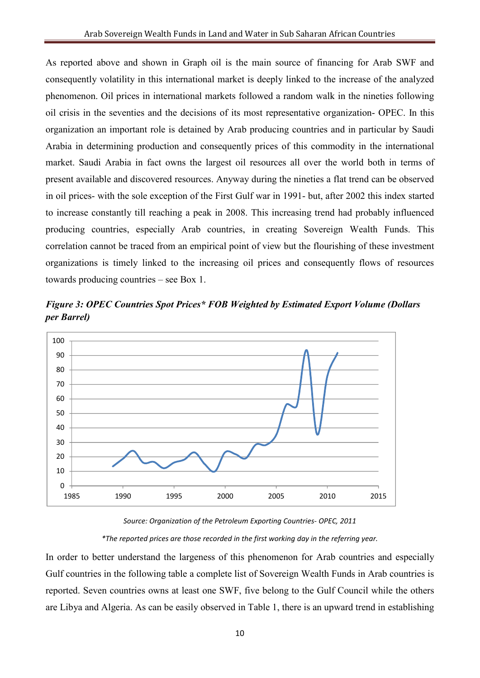As reported above and shown in Graph oil is the main source of financing for Arab SWF and consequently volatility in this international market is deeply linked to the increase of the analyzed phenomenon. Oil prices in international markets followed a random walk in the nineties following oil crisis in the seventies and the decisions of its most representative organization- OPEC. In this organization an important role is detained by Arab producing countries and in particular by Saudi Arabia in determining production and consequently prices of this commodity in the international market. Saudi Arabia in fact owns the largest oil resources all over the world both in terms of present available and discovered resources. Anyway during the nineties a flat trend can be observed in oil prices- with the sole exception of the First Gulf war in 1991- but, after 2002 this index started to increase constantly till reaching a peak in 2008. This increasing trend had probably influenced producing countries, especially Arab countries, in creating Sovereign Wealth Funds. This correlation cannot be traced from an empirical point of view but the flourishing of these investment organizations is timely linked to the increasing oil prices and consequently flows of resources towards producing countries – see Box 1.

*Figure 3: OPEC Countries Spot Prices\* FOB Weighted by Estimated Export Volume (Dollars per Barrel)* 



*Source: Organization of the Petroleum Exporting Countries- OPEC, 2011 \*The reported prices are those recorded in the first working day in the referring year.* 

In order to better understand the largeness of this phenomenon for Arab countries and especially Gulf countries in the following table a complete list of Sovereign Wealth Funds in Arab countries is reported. Seven countries owns at least one SWF, five belong to the Gulf Council while the others are Libya and Algeria. As can be easily observed in Table 1, there is an upward trend in establishing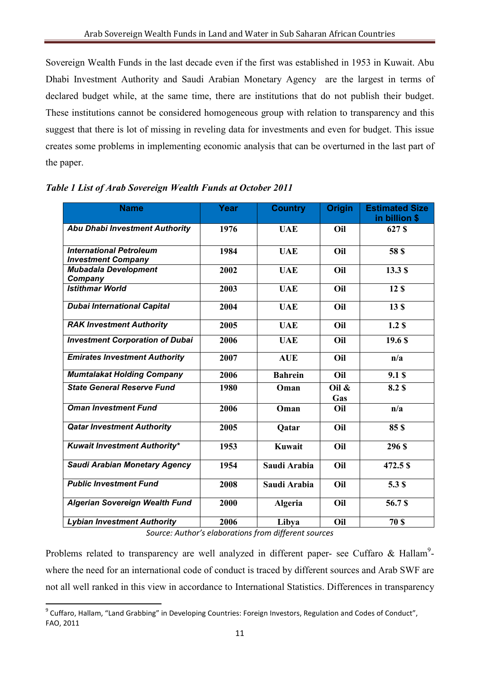Sovereign Wealth Funds in the last decade even if the first was established in 1953 in Kuwait. Abu Dhabi Investment Authority and Saudi Arabian Monetary Agency are the largest in terms of declared budget while, at the same time, there are institutions that do not publish their budget. These institutions cannot be considered homogeneous group with relation to transparency and this suggest that there is lot of missing in reveling data for investments and even for budget. This issue creates some problems in implementing economic analysis that can be overturned in the last part of the paper.

| <b>Name</b>                                                 | Year | <b>Country</b> | <b>Origin</b>   | <b>Estimated Size</b><br>in billion \$ |
|-------------------------------------------------------------|------|----------------|-----------------|----------------------------------------|
| <b>Abu Dhabi Investment Authority</b>                       | 1976 | <b>UAE</b>     | Oil             | 627 S                                  |
| <b>International Petroleum</b><br><b>Investment Company</b> | 1984 | <b>UAE</b>     | Oil             | <b>58 \$</b>                           |
| <b>Mubadala Development</b><br>Company                      | 2002 | <b>UAE</b>     | Oil             | 13.3S                                  |
| <b>Istithmar World</b>                                      | 2003 | <b>UAE</b>     | Oil             | 12 \$                                  |
| <b>Dubai International Capital</b>                          | 2004 | <b>UAE</b>     | Oil             | 13 <sub>s</sub>                        |
| <b>RAK Investment Authority</b>                             | 2005 | <b>UAE</b>     | Oil             | 1.2 <sub>5</sub>                       |
| <b>Investment Corporation of Dubai</b>                      | 2006 | <b>UAE</b>     | Oil             | 19.6S                                  |
| <b>Emirates Investment Authority</b>                        | 2007 | <b>AUE</b>     | Oil             | n/a                                    |
| <b>Mumtalakat Holding Company</b>                           | 2006 | <b>Bahrein</b> | Oil             | 9.1S                                   |
| <b>State General Reserve Fund</b>                           | 1980 | Oman           | Oil $\&$<br>Gas | 8.2 \$                                 |
| <b>Oman Investment Fund</b>                                 | 2006 | Oman           | Oil             | n/a                                    |
| <b>Qatar Investment Authority</b>                           | 2005 | Qatar          | Oil             | 85\$                                   |
| <b>Kuwait Investment Authority*</b>                         | 1953 | Kuwait         | Oil             | 296 S                                  |
| <b>Saudi Arabian Monetary Agency</b>                        | 1954 | Saudi Arabia   | Oil             | 472.5 \$                               |
| <b>Public Investment Fund</b>                               | 2008 | Saudi Arabia   | Oil             | 5.3 \$                                 |
| <b>Algerian Sovereign Wealth Fund</b>                       | 2000 | <b>Algeria</b> | Oil             | 56.7\$                                 |
| <b>Lybian Investment Authority</b>                          | 2006 | Libya          | Oil             | <b>70 \$</b>                           |

#### *Table 1 List of Arab Sovereign Wealth Funds at October 2011*

*Source: Author's elaborations from different sources* 

Problems related to transparency are well analyzed in different paper- see Cuffaro & Hallam<sup>9</sup>where the need for an international code of conduct is traced by different sources and Arab SWF are not all well ranked in this view in accordance to International Statistics. Differences in transparency

<sup>&</sup>lt;u>.</u> <sup>9</sup> Cuffaro, Hallam, "Land Grabbing" in Developing Countries: Foreign Investors, Regulation and Codes of Conduct", FAO, 2011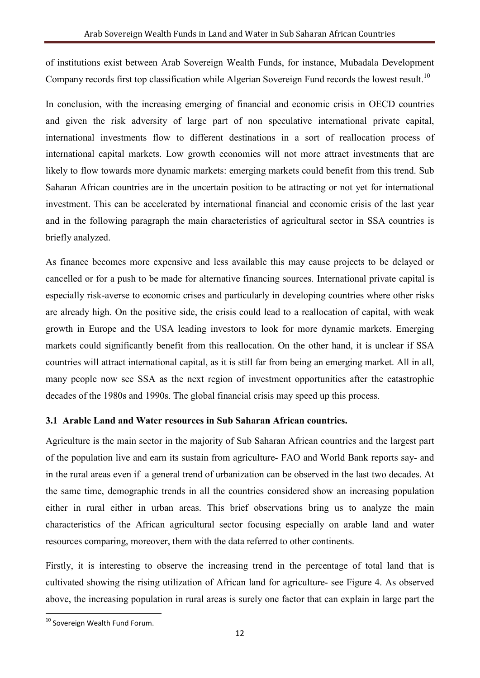of institutions exist between Arab Sovereign Wealth Funds, for instance, Mubadala Development Company records first top classification while Algerian Sovereign Fund records the lowest result.<sup>10</sup>

In conclusion, with the increasing emerging of financial and economic crisis in OECD countries and given the risk adversity of large part of non speculative international private capital, international investments flow to different destinations in a sort of reallocation process of international capital markets. Low growth economies will not more attract investments that are likely to flow towards more dynamic markets: emerging markets could benefit from this trend. Sub Saharan African countries are in the uncertain position to be attracting or not yet for international investment. This can be accelerated by international financial and economic crisis of the last year and in the following paragraph the main characteristics of agricultural sector in SSA countries is briefly analyzed.

As finance becomes more expensive and less available this may cause projects to be delayed or cancelled or for a push to be made for alternative financing sources. International private capital is especially risk-averse to economic crises and particularly in developing countries where other risks are already high. On the positive side, the crisis could lead to a reallocation of capital, with weak growth in Europe and the USA leading investors to look for more dynamic markets. Emerging markets could significantly benefit from this reallocation. On the other hand, it is unclear if SSA countries will attract international capital, as it is still far from being an emerging market. All in all, many people now see SSA as the next region of investment opportunities after the catastrophic decades of the 1980s and 1990s. The global financial crisis may speed up this process.

#### **3.1 Arable Land and Water resources in Sub Saharan African countries.**

Agriculture is the main sector in the majority of Sub Saharan African countries and the largest part of the population live and earn its sustain from agriculture- FAO and World Bank reports say- and in the rural areas even if a general trend of urbanization can be observed in the last two decades. At the same time, demographic trends in all the countries considered show an increasing population either in rural either in urban areas. This brief observations bring us to analyze the main characteristics of the African agricultural sector focusing especially on arable land and water resources comparing, moreover, them with the data referred to other continents.

Firstly, it is interesting to observe the increasing trend in the percentage of total land that is cultivated showing the rising utilization of African land for agriculture- see Figure 4. As observed above, the increasing population in rural areas is surely one factor that can explain in large part the

 $10$  Sovereign Wealth Fund Forum.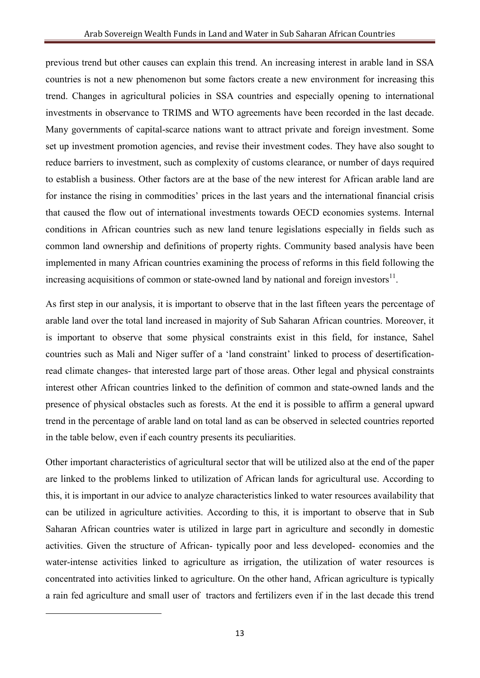previous trend but other causes can explain this trend. An increasing interest in arable land in SSA countries is not a new phenomenon but some factors create a new environment for increasing this trend. Changes in agricultural policies in SSA countries and especially opening to international investments in observance to TRIMS and WTO agreements have been recorded in the last decade. Many governments of capital-scarce nations want to attract private and foreign investment. Some set up investment promotion agencies, and revise their investment codes. They have also sought to reduce barriers to investment, such as complexity of customs clearance, or number of days required to establish a business. Other factors are at the base of the new interest for African arable land are for instance the rising in commodities' prices in the last years and the international financial crisis that caused the flow out of international investments towards OECD economies systems. Internal conditions in African countries such as new land tenure legislations especially in fields such as common land ownership and definitions of property rights. Community based analysis have been implemented in many African countries examining the process of reforms in this field following the increasing acquisitions of common or state-owned land by national and foreign investors<sup>11</sup>.

As first step in our analysis, it is important to observe that in the last fifteen years the percentage of arable land over the total land increased in majority of Sub Saharan African countries. Moreover, it is important to observe that some physical constraints exist in this field, for instance, Sahel countries such as Mali and Niger suffer of a 'land constraint' linked to process of desertificationread climate changes- that interested large part of those areas. Other legal and physical constraints interest other African countries linked to the definition of common and state-owned lands and the presence of physical obstacles such as forests. At the end it is possible to affirm a general upward trend in the percentage of arable land on total land as can be observed in selected countries reported in the table below, even if each country presents its peculiarities.

Other important characteristics of agricultural sector that will be utilized also at the end of the paper are linked to the problems linked to utilization of African lands for agricultural use. According to this, it is important in our advice to analyze characteristics linked to water resources availability that can be utilized in agriculture activities. According to this, it is important to observe that in Sub Saharan African countries water is utilized in large part in agriculture and secondly in domestic activities. Given the structure of African- typically poor and less developed- economies and the water-intense activities linked to agriculture as irrigation, the utilization of water resources is concentrated into activities linked to agriculture. On the other hand, African agriculture is typically a rain fed agriculture and small user of tractors and fertilizers even if in the last decade this trend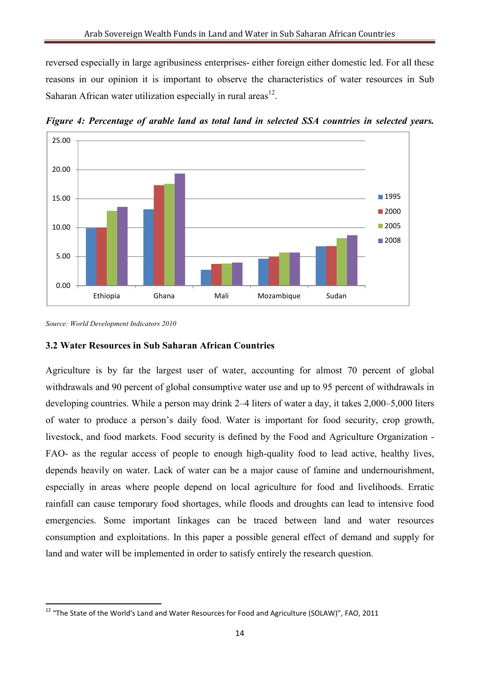reversed especially in large agribusiness enterprises- either foreign either domestic led. For all these reasons in our opinion it is important to observe the characteristics of water resources in Sub Saharan African water utilization especially in rural areas $^{12}$ .



*Figure 4: Percentage of arable land as total land in selected SSA countries in selected years.*

<u>.</u>

#### **3.2 Water Resources in Sub Saharan African Countries**

Agriculture is by far the largest user of water, accounting for almost 70 percent of global withdrawals and 90 percent of global consumptive water use and up to 95 percent of withdrawals in developing countries. While a person may drink 2–4 liters of water a day, it takes 2,000–5,000 liters of water to produce a person's daily food. Water is important for food security, crop growth, livestock, and food markets. Food security is defined by the Food and Agriculture Organization - FAO- as the regular access of people to enough high-quality food to lead active, healthy lives, depends heavily on water. Lack of water can be a major cause of famine and undernourishment, especially in areas where people depend on local agriculture for food and livelihoods. Erratic rainfall can cause temporary food shortages, while floods and droughts can lead to intensive food emergencies. Some important linkages can be traced between land and water resources consumption and exploitations. In this paper a possible general effect of demand and supply for land and water will be implemented in order to satisfy entirely the research question.

*Source: World Development Indicators 2010*

 $12$  "The State of the World's Land and Water Resources for Food and Agriculture (SOLAW)", FAO, 2011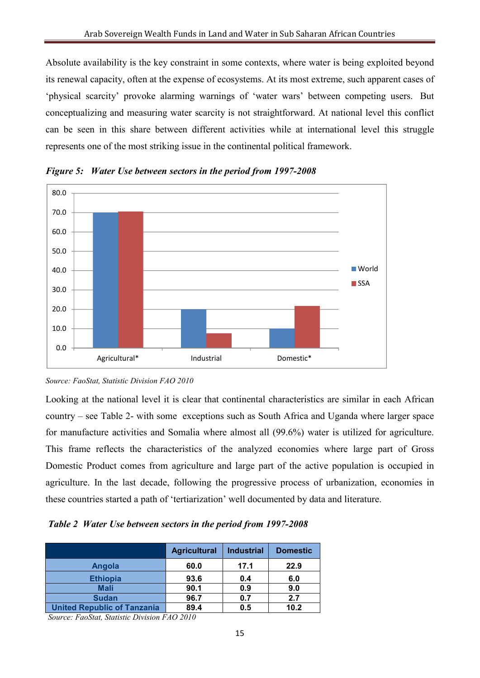Absolute availability is the key constraint in some contexts, where water is being exploited beyond its renewal capacity, often at the expense of ecosystems. At its most extreme, such apparent cases of 'physical scarcity' provoke alarming warnings of 'water wars' between competing users. But conceptualizing and measuring water scarcity is not straightforward. At national level this conflict can be seen in this share between different activities while at international level this struggle represents one of the most striking issue in the continental political framework.



*Figure 5: Water Use between sectors in the period from 1997-2008* 

Looking at the national level it is clear that continental characteristics are similar in each African country – see Table 2- with some exceptions such as South Africa and Uganda where larger space for manufacture activities and Somalia where almost all (99.6%) water is utilized for agriculture. This frame reflects the characteristics of the analyzed economies where large part of Gross Domestic Product comes from agriculture and large part of the active population is occupied in agriculture. In the last decade, following the progressive process of urbanization, economies in these countries started a path of 'tertiarization' well documented by data and literature.

*Table 2 Water Use between sectors in the period from 1997-2008* 

|                                    | <b>Agricultural</b> | <b>Industrial</b> | <b>Domestic</b> |
|------------------------------------|---------------------|-------------------|-----------------|
| Angola                             | 60.0                | 17.1              | 22.9            |
| <b>Ethiopia</b>                    | 93.6                | 0.4               | 6.0             |
| <b>Mali</b>                        | 90.1                | 0.9               | 9.0             |
| <b>Sudan</b>                       | 96.7                | 0.7               | 2.7             |
| <b>United Republic of Tanzania</b> | 89.4                | 0.5               | 10.2            |

*Source: FaoStat, Statistic Division FAO 2010* 

*Source: FaoStat, Statistic Division FAO 2010*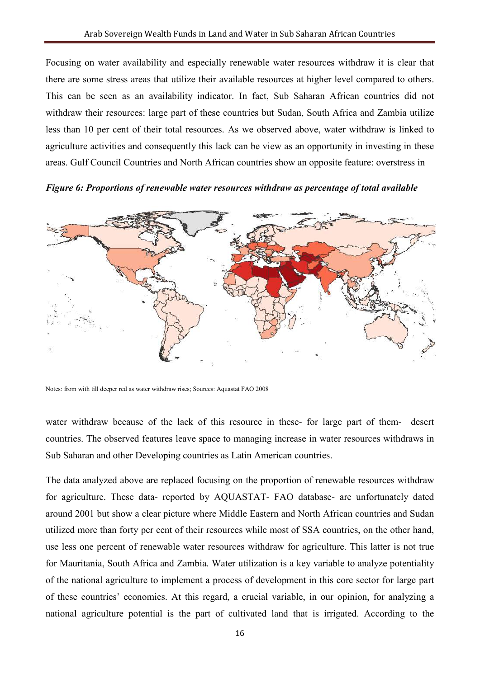Focusing on water availability and especially renewable water resources withdraw it is clear that there are some stress areas that utilize their available resources at higher level compared to others. This can be seen as an availability indicator. In fact, Sub Saharan African countries did not withdraw their resources: large part of these countries but Sudan, South Africa and Zambia utilize less than 10 per cent of their total resources. As we observed above, water withdraw is linked to agriculture activities and consequently this lack can be view as an opportunity in investing in these areas. Gulf Council Countries and North African countries show an opposite feature: overstress in

#### *Figure 6: Proportions of renewable water resources withdraw as percentage of total available*



Notes: from with till deeper red as water withdraw rises; Sources: Aquastat FAO 2008

water withdraw because of the lack of this resource in these- for large part of them- desert countries. The observed features leave space to managing increase in water resources withdraws in Sub Saharan and other Developing countries as Latin American countries.

The data analyzed above are replaced focusing on the proportion of renewable resources withdraw for agriculture. These data- reported by AQUASTAT- FAO database- are unfortunately dated around 2001 but show a clear picture where Middle Eastern and North African countries and Sudan utilized more than forty per cent of their resources while most of SSA countries, on the other hand, use less one percent of renewable water resources withdraw for agriculture. This latter is not true for Mauritania, South Africa and Zambia. Water utilization is a key variable to analyze potentiality of the national agriculture to implement a process of development in this core sector for large part of these countries' economies. At this regard, a crucial variable, in our opinion, for analyzing a national agriculture potential is the part of cultivated land that is irrigated. According to the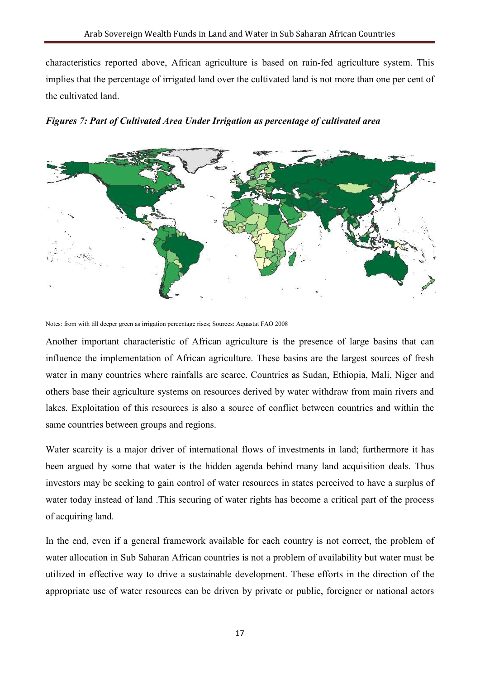characteristics reported above, African agriculture is based on rain-fed agriculture system. This implies that the percentage of irrigated land over the cultivated land is not more than one per cent of the cultivated land.





Notes: from with till deeper green as irrigation percentage rises; Sources: Aquastat FAO 2008

Another important characteristic of African agriculture is the presence of large basins that can influence the implementation of African agriculture. These basins are the largest sources of fresh water in many countries where rainfalls are scarce. Countries as Sudan, Ethiopia, Mali, Niger and others base their agriculture systems on resources derived by water withdraw from main rivers and lakes. Exploitation of this resources is also a source of conflict between countries and within the same countries between groups and regions.

Water scarcity is a major driver of international flows of investments in land; furthermore it has been argued by some that water is the hidden agenda behind many land acquisition deals. Thus investors may be seeking to gain control of water resources in states perceived to have a surplus of water today instead of land .This securing of water rights has become a critical part of the process of acquiring land.

In the end, even if a general framework available for each country is not correct, the problem of water allocation in Sub Saharan African countries is not a problem of availability but water must be utilized in effective way to drive a sustainable development. These efforts in the direction of the appropriate use of water resources can be driven by private or public, foreigner or national actors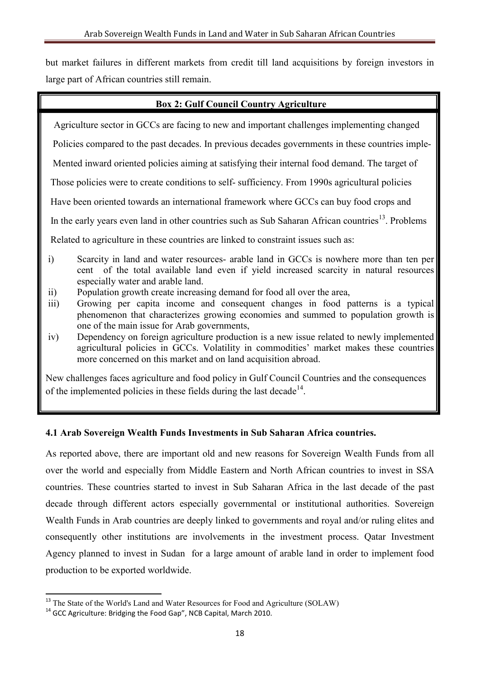but market failures in different markets from credit till land acquisitions by foreign investors in large part of African countries still remain.

#### **Box 2: Gulf Council Country Agriculture**

Agriculture sector in GCCs are facing to new and important challenges implementing changed

Policies compared to the past decades. In previous decades governments in these countries imple-

Mented inward oriented policies aiming at satisfying their internal food demand. The target of

Those policies were to create conditions to self- sufficiency. From 1990s agricultural policies

Have been oriented towards an international framework where GCCs can buy food crops and

In the early years even land in other countries such as Sub Saharan African countries<sup>13</sup>. Problems

Related to agriculture in these countries are linked to constraint issues such as:

- i) Scarcity in land and water resources- arable land in GCCs is nowhere more than ten per cent of the total available land even if yield increased scarcity in natural resources especially water and arable land.
- ii) Population growth create increasing demand for food all over the area,
- iii) Growing per capita income and consequent changes in food patterns is a typical phenomenon that characterizes growing economies and summed to population growth is one of the main issue for Arab governments,
- iv) Dependency on foreign agriculture production is a new issue related to newly implemented agricultural policies in GCCs. Volatility in commodities' market makes these countries more concerned on this market and on land acquisition abroad.

New challenges faces agriculture and food policy in Gulf Council Countries and the consequences of the implemented policies in these fields during the last decade<sup>14</sup>.

#### **4.1 Arab Sovereign Wealth Funds Investments in Sub Saharan Africa countries.**

As reported above, there are important old and new reasons for Sovereign Wealth Funds from all over the world and especially from Middle Eastern and North African countries to invest in SSA countries. These countries started to invest in Sub Saharan Africa in the last decade of the past decade through different actors especially governmental or institutional authorities. Sovereign Wealth Funds in Arab countries are deeply linked to governments and royal and/or ruling elites and consequently other institutions are involvements in the investment process. Qatar Investment Agency planned to invest in Sudan for a large amount of arable land in order to implement food production to be exported worldwide.

<sup>&</sup>lt;sup>13</sup> The State of the World's Land and Water Resources for Food and Agriculture (SOLAW)

<sup>&</sup>lt;sup>14</sup> GCC Agriculture: Bridging the Food Gap", NCB Capital, March 2010.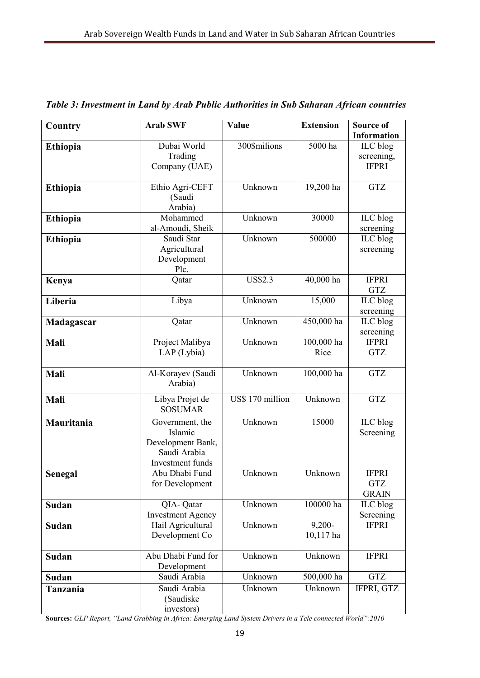| Country         | <b>Arab SWF</b>              | Value            | <b>Extension</b> | Source of                  |
|-----------------|------------------------------|------------------|------------------|----------------------------|
|                 |                              |                  |                  | <b>Information</b>         |
| Ethiopia        | Dubai World                  | 300\$milions     | 5000 ha          | ILC blog                   |
|                 | Trading                      |                  |                  | screening,                 |
|                 | Company (UAE)                |                  |                  | <b>IFPRI</b>               |
|                 |                              |                  |                  |                            |
| Ethiopia        | Ethio Agri-CEFT              | Unknown          | 19,200 ha        | <b>GTZ</b>                 |
|                 | (Saudi                       |                  |                  |                            |
|                 | Arabia)<br>Mohammed          | Unknown          | 30000            | ILC blog                   |
| <b>Ethiopia</b> | al-Amoudi, Sheik             |                  |                  | screening                  |
| <b>Ethiopia</b> | Saudi Star                   | Unknown          | 500000           | ILC blog                   |
|                 | Agricultural                 |                  |                  | screening                  |
|                 | Development                  |                  |                  |                            |
|                 | Plc.                         |                  |                  |                            |
| Kenya           | Qatar                        | <b>US\$2.3</b>   | 40,000 ha        | <b>IFPRI</b>               |
|                 |                              |                  |                  | <b>GTZ</b>                 |
| Liberia         | Libya                        | Unknown          | 15,000           | ILC blog                   |
|                 |                              |                  |                  | screening                  |
| Madagascar      | Qatar                        | Unknown          | 450,000 ha       | ILC blog                   |
|                 |                              |                  |                  | screening                  |
| Mali            | Project Malibya              | Unknown          | 100,000 ha       | <b>IFPRI</b>               |
|                 | LAP (Lybia)                  |                  | Rice             | <b>GTZ</b>                 |
|                 |                              | Unknown          | 100,000 ha       | <b>GTZ</b>                 |
| Mali            | Al-Korayev (Saudi<br>Arabia) |                  |                  |                            |
|                 |                              |                  |                  |                            |
| Mali            | Libya Projet de              | US\$ 170 million | Unknown          | <b>GTZ</b>                 |
|                 | <b>SOSUMAR</b>               |                  |                  |                            |
| Mauritania      | Government, the              | Unknown          | 15000            | ILC blog                   |
|                 | Islamic                      |                  |                  | Screening                  |
|                 | Development Bank,            |                  |                  |                            |
|                 | Saudi Arabia                 |                  |                  |                            |
|                 | Investment funds             |                  |                  |                            |
| Senegal         | Abu Dhabi Fund               | Unknown          | Unknown          | <b>IFPRI</b><br><b>GTZ</b> |
|                 | for Development              |                  |                  | <b>GRAIN</b>               |
| Sudan           | QIA-Qatar                    | Unknown          | 100000 ha        | ILC blog                   |
|                 | <b>Investment Agency</b>     |                  |                  | Screening                  |
| Sudan           | Hail Agricultural            | Unknown          | $9,200 -$        | <b>IFPRI</b>               |
|                 | Development Co               |                  | 10,117 ha        |                            |
|                 |                              |                  |                  |                            |
| Sudan           | Abu Dhabi Fund for           | Unknown          | Unknown          | <b>IFPRI</b>               |
|                 | Development                  |                  |                  |                            |
| Sudan           | Saudi Arabia                 | Unknown          | 500,000 ha       | <b>GTZ</b>                 |
| Tanzania        | Saudi Arabia                 | Unknown          | Unknown          | IFPRI, GTZ                 |
|                 | (Saudiske                    |                  |                  |                            |
|                 | investors)                   |                  |                  |                            |

*Table 3: Investment in Land by Arab Public Authorities in Sub Saharan African countries* 

**Sources:** *GLP Report, "Land Grabbing in Africa: Emerging Land System Drivers in a Tele connected World":2010*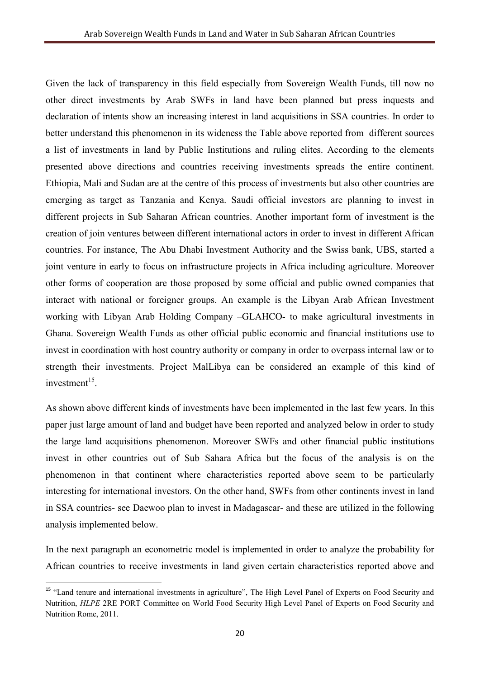Given the lack of transparency in this field especially from Sovereign Wealth Funds, till now no other direct investments by Arab SWFs in land have been planned but press inquests and declaration of intents show an increasing interest in land acquisitions in SSA countries. In order to better understand this phenomenon in its wideness the Table above reported from different sources a list of investments in land by Public Institutions and ruling elites. According to the elements presented above directions and countries receiving investments spreads the entire continent. Ethiopia, Mali and Sudan are at the centre of this process of investments but also other countries are emerging as target as Tanzania and Kenya. Saudi official investors are planning to invest in different projects in Sub Saharan African countries. Another important form of investment is the creation of join ventures between different international actors in order to invest in different African countries. For instance, The Abu Dhabi Investment Authority and the Swiss bank, UBS, started a joint venture in early to focus on infrastructure projects in Africa including agriculture. Moreover other forms of cooperation are those proposed by some official and public owned companies that interact with national or foreigner groups. An example is the Libyan Arab African Investment working with Libyan Arab Holding Company –GLAHCO- to make agricultural investments in Ghana. Sovereign Wealth Funds as other official public economic and financial institutions use to invest in coordination with host country authority or company in order to overpass internal law or to strength their investments. Project MalLibya can be considered an example of this kind of  $investment<sup>15</sup>$ .

As shown above different kinds of investments have been implemented in the last few years. In this paper just large amount of land and budget have been reported and analyzed below in order to study the large land acquisitions phenomenon. Moreover SWFs and other financial public institutions invest in other countries out of Sub Sahara Africa but the focus of the analysis is on the phenomenon in that continent where characteristics reported above seem to be particularly interesting for international investors. On the other hand, SWFs from other continents invest in land in SSA countries- see Daewoo plan to invest in Madagascar- and these are utilized in the following analysis implemented below.

In the next paragraph an econometric model is implemented in order to analyze the probability for African countries to receive investments in land given certain characteristics reported above and

<sup>&</sup>lt;sup>15</sup> "Land tenure and international investments in agriculture", The High Level Panel of Experts on Food Security and Nutrition, *HLPE* 2RE PORT Committee on World Food Security High Level Panel of Experts on Food Security and Nutrition Rome, 2011.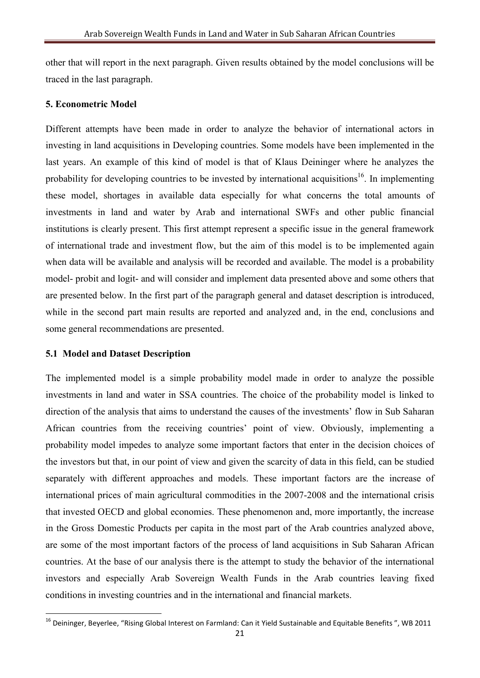other that will report in the next paragraph. Given results obtained by the model conclusions will be traced in the last paragraph.

#### **5. Econometric Model**

Different attempts have been made in order to analyze the behavior of international actors in investing in land acquisitions in Developing countries. Some models have been implemented in the last years. An example of this kind of model is that of Klaus Deininger where he analyzes the probability for developing countries to be invested by international acquisitions<sup>16</sup>. In implementing these model, shortages in available data especially for what concerns the total amounts of investments in land and water by Arab and international SWFs and other public financial institutions is clearly present. This first attempt represent a specific issue in the general framework of international trade and investment flow, but the aim of this model is to be implemented again when data will be available and analysis will be recorded and available. The model is a probability model- probit and logit- and will consider and implement data presented above and some others that are presented below. In the first part of the paragraph general and dataset description is introduced, while in the second part main results are reported and analyzed and, in the end, conclusions and some general recommendations are presented.

#### **5.1 Model and Dataset Description**

-

The implemented model is a simple probability model made in order to analyze the possible investments in land and water in SSA countries. The choice of the probability model is linked to direction of the analysis that aims to understand the causes of the investments' flow in Sub Saharan African countries from the receiving countries' point of view. Obviously, implementing a probability model impedes to analyze some important factors that enter in the decision choices of the investors but that, in our point of view and given the scarcity of data in this field, can be studied separately with different approaches and models. These important factors are the increase of international prices of main agricultural commodities in the 2007-2008 and the international crisis that invested OECD and global economies. These phenomenon and, more importantly, the increase in the Gross Domestic Products per capita in the most part of the Arab countries analyzed above, are some of the most important factors of the process of land acquisitions in Sub Saharan African countries. At the base of our analysis there is the attempt to study the behavior of the international investors and especially Arab Sovereign Wealth Funds in the Arab countries leaving fixed conditions in investing countries and in the international and financial markets.

 $16$  Deininger, Beverlee, "Rising Global Interest on Farmland: Can it Yield Sustainable and Equitable Benefits ", WB 2011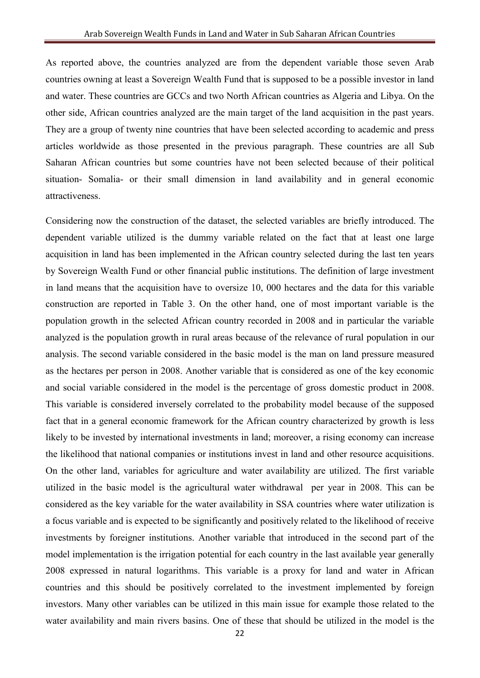As reported above, the countries analyzed are from the dependent variable those seven Arab countries owning at least a Sovereign Wealth Fund that is supposed to be a possible investor in land and water. These countries are GCCs and two North African countries as Algeria and Libya. On the other side, African countries analyzed are the main target of the land acquisition in the past years. They are a group of twenty nine countries that have been selected according to academic and press articles worldwide as those presented in the previous paragraph. These countries are all Sub Saharan African countries but some countries have not been selected because of their political situation- Somalia- or their small dimension in land availability and in general economic attractiveness.

Considering now the construction of the dataset, the selected variables are briefly introduced. The dependent variable utilized is the dummy variable related on the fact that at least one large acquisition in land has been implemented in the African country selected during the last ten years by Sovereign Wealth Fund or other financial public institutions. The definition of large investment in land means that the acquisition have to oversize 10, 000 hectares and the data for this variable construction are reported in Table 3. On the other hand, one of most important variable is the population growth in the selected African country recorded in 2008 and in particular the variable analyzed is the population growth in rural areas because of the relevance of rural population in our analysis. The second variable considered in the basic model is the man on land pressure measured as the hectares per person in 2008. Another variable that is considered as one of the key economic and social variable considered in the model is the percentage of gross domestic product in 2008. This variable is considered inversely correlated to the probability model because of the supposed fact that in a general economic framework for the African country characterized by growth is less likely to be invested by international investments in land; moreover, a rising economy can increase the likelihood that national companies or institutions invest in land and other resource acquisitions. On the other land, variables for agriculture and water availability are utilized. The first variable utilized in the basic model is the agricultural water withdrawal per year in 2008. This can be considered as the key variable for the water availability in SSA countries where water utilization is a focus variable and is expected to be significantly and positively related to the likelihood of receive investments by foreigner institutions. Another variable that introduced in the second part of the model implementation is the irrigation potential for each country in the last available year generally 2008 expressed in natural logarithms. This variable is a proxy for land and water in African countries and this should be positively correlated to the investment implemented by foreign investors. Many other variables can be utilized in this main issue for example those related to the water availability and main rivers basins. One of these that should be utilized in the model is the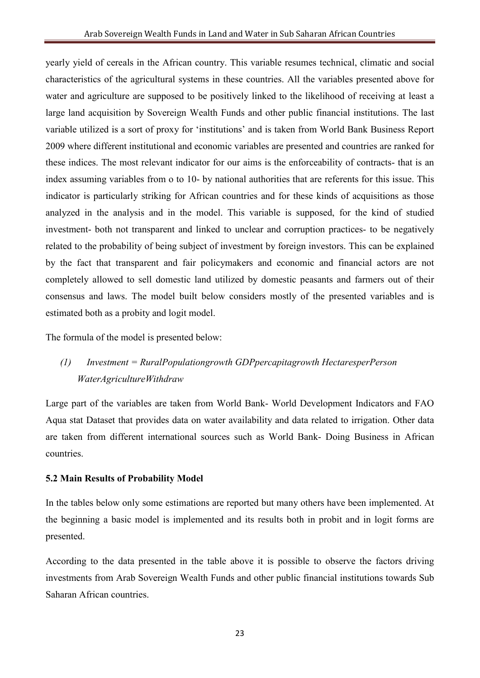yearly yield of cereals in the African country. This variable resumes technical, climatic and social characteristics of the agricultural systems in these countries. All the variables presented above for water and agriculture are supposed to be positively linked to the likelihood of receiving at least a large land acquisition by Sovereign Wealth Funds and other public financial institutions. The last variable utilized is a sort of proxy for 'institutions' and is taken from World Bank Business Report 2009 where different institutional and economic variables are presented and countries are ranked for these indices. The most relevant indicator for our aims is the enforceability of contracts- that is an index assuming variables from o to 10- by national authorities that are referents for this issue. This indicator is particularly striking for African countries and for these kinds of acquisitions as those analyzed in the analysis and in the model. This variable is supposed, for the kind of studied investment- both not transparent and linked to unclear and corruption practices- to be negatively related to the probability of being subject of investment by foreign investors. This can be explained by the fact that transparent and fair policymakers and economic and financial actors are not completely allowed to sell domestic land utilized by domestic peasants and farmers out of their consensus and laws. The model built below considers mostly of the presented variables and is estimated both as a probity and logit model.

The formula of the model is presented below:

## *(1) Investment = RuralPopulationgrowth GDPpercapitagrowth HectaresperPerson WaterAgricultureWithdraw*

Large part of the variables are taken from World Bank- World Development Indicators and FAO Aqua stat Dataset that provides data on water availability and data related to irrigation. Other data are taken from different international sources such as World Bank- Doing Business in African countries.

### **5.2 Main Results of Probability Model**

In the tables below only some estimations are reported but many others have been implemented. At the beginning a basic model is implemented and its results both in probit and in logit forms are presented.

According to the data presented in the table above it is possible to observe the factors driving investments from Arab Sovereign Wealth Funds and other public financial institutions towards Sub Saharan African countries.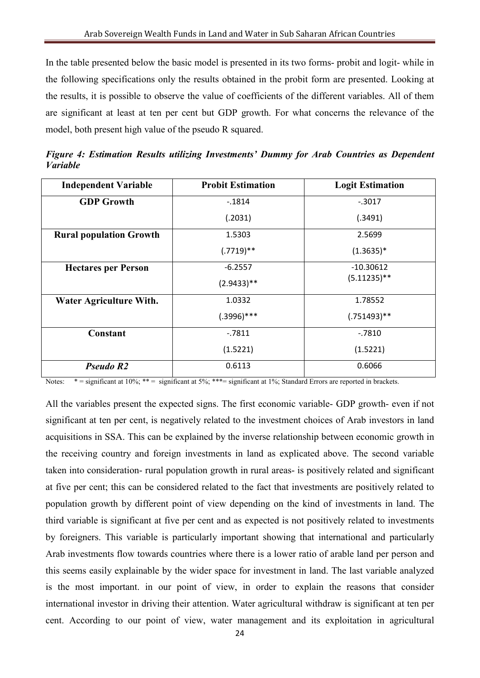In the table presented below the basic model is presented in its two forms- probit and logit- while in the following specifications only the results obtained in the probit form are presented. Looking at the results, it is possible to observe the value of coefficients of the different variables. All of them are significant at least at ten per cent but GDP growth. For what concerns the relevance of the model, both present high value of the pseudo R squared.

| <b>Independent Variable</b>    | <b>Probit Estimation</b> | <b>Logit Estimation</b> |
|--------------------------------|--------------------------|-------------------------|
| <b>GDP Growth</b>              | $-.1814$                 | $-.3017$                |
|                                | (.2031)                  | (.3491)                 |
| <b>Rural population Growth</b> | 1.5303                   | 2.5699                  |
|                                | $(.7719)**$              | $(1.3635)^*$            |
| <b>Hectares per Person</b>     | $-6.2557$                | $-10.30612$             |
|                                | $(2.9433)$ **            | $(5.11235)$ **          |
| Water Agriculture With.        | 1.0332                   | 1.78552                 |
|                                | $(.3996)***$             | $(.751493)**$           |
| Constant                       | $-7811$                  | $-0.7810$               |
|                                | (1.5221)                 | (1.5221)                |
| Pseudo R <sub>2</sub>          | 0.6113                   | 0.6066                  |

*Figure 4: Estimation Results utilizing Investments' Dummy for Arab Countries as Dependent Variable* 

Notes:  $* =$  significant at 10%;  $** =$  significant at 5%;  $** =$  significant at 1%; Standard Errors are reported in brackets.

All the variables present the expected signs. The first economic variable- GDP growth- even if not significant at ten per cent, is negatively related to the investment choices of Arab investors in land acquisitions in SSA. This can be explained by the inverse relationship between economic growth in the receiving country and foreign investments in land as explicated above. The second variable taken into consideration- rural population growth in rural areas- is positively related and significant at five per cent; this can be considered related to the fact that investments are positively related to population growth by different point of view depending on the kind of investments in land. The third variable is significant at five per cent and as expected is not positively related to investments by foreigners. This variable is particularly important showing that international and particularly Arab investments flow towards countries where there is a lower ratio of arable land per person and this seems easily explainable by the wider space for investment in land. The last variable analyzed is the most important. in our point of view, in order to explain the reasons that consider international investor in driving their attention. Water agricultural withdraw is significant at ten per cent. According to our point of view, water management and its exploitation in agricultural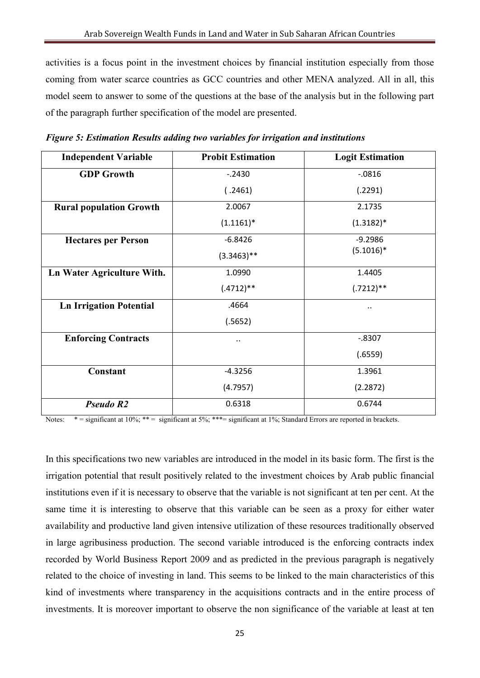activities is a focus point in the investment choices by financial institution especially from those coming from water scarce countries as GCC countries and other MENA analyzed. All in all, this model seem to answer to some of the questions at the base of the analysis but in the following part of the paragraph further specification of the model are presented.

| <b>Independent Variable</b>    | <b>Probit Estimation</b> | <b>Logit Estimation</b> |
|--------------------------------|--------------------------|-------------------------|
| <b>GDP</b> Growth              | $-2430$                  | $-0816$                 |
|                                | (.2461)                  | (.2291)                 |
| <b>Rural population Growth</b> | 2.0067                   | 2.1735                  |
|                                | $(1.1161)^*$             | $(1.3182)*$             |
| <b>Hectares per Person</b>     | $-6.8426$                | $-9.2986$               |
|                                | $(3.3463)$ **            | $(5.1016)^*$            |
| Ln Water Agriculture With.     | 1.0990                   | 1.4405                  |
|                                | $(.4712)**$              | $(.7212)**$             |
| <b>Ln Irrigation Potential</b> | .4664                    |                         |
|                                | (.5652)                  |                         |
| <b>Enforcing Contracts</b>     |                          | $-.8307$                |
|                                |                          | (.6559)                 |
| Constant                       | $-4.3256$                | 1.3961                  |
|                                | (4.7957)                 | (2.2872)                |
| Pseudo R <sub>2</sub>          | 0.6318                   | 0.6744                  |

*Figure 5: Estimation Results adding two variables for irrigation and institutions* 

Notes:  $* =$  significant at 10%;  $** =$  significant at 5%;  $*** =$  significant at 1%; Standard Errors are reported in brackets.

In this specifications two new variables are introduced in the model in its basic form. The first is the irrigation potential that result positively related to the investment choices by Arab public financial institutions even if it is necessary to observe that the variable is not significant at ten per cent. At the same time it is interesting to observe that this variable can be seen as a proxy for either water availability and productive land given intensive utilization of these resources traditionally observed in large agribusiness production. The second variable introduced is the enforcing contracts index recorded by World Business Report 2009 and as predicted in the previous paragraph is negatively related to the choice of investing in land. This seems to be linked to the main characteristics of this kind of investments where transparency in the acquisitions contracts and in the entire process of investments. It is moreover important to observe the non significance of the variable at least at ten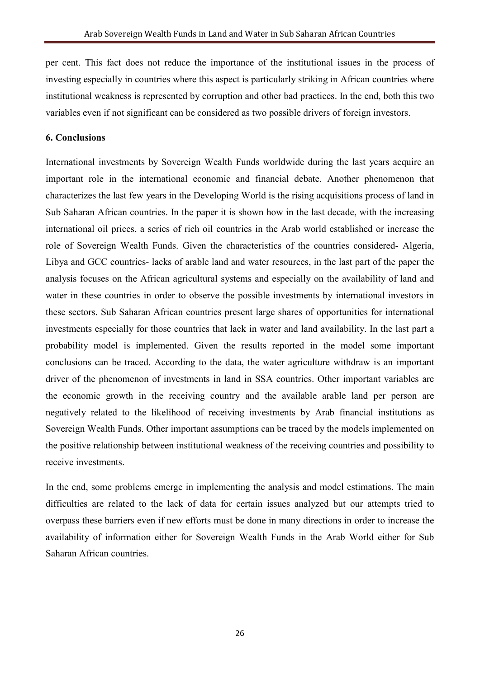per cent. This fact does not reduce the importance of the institutional issues in the process of investing especially in countries where this aspect is particularly striking in African countries where institutional weakness is represented by corruption and other bad practices. In the end, both this two variables even if not significant can be considered as two possible drivers of foreign investors.

#### **6. Conclusions**

International investments by Sovereign Wealth Funds worldwide during the last years acquire an important role in the international economic and financial debate. Another phenomenon that characterizes the last few years in the Developing World is the rising acquisitions process of land in Sub Saharan African countries. In the paper it is shown how in the last decade, with the increasing international oil prices, a series of rich oil countries in the Arab world established or increase the role of Sovereign Wealth Funds. Given the characteristics of the countries considered- Algeria, Libya and GCC countries- lacks of arable land and water resources, in the last part of the paper the analysis focuses on the African agricultural systems and especially on the availability of land and water in these countries in order to observe the possible investments by international investors in these sectors. Sub Saharan African countries present large shares of opportunities for international investments especially for those countries that lack in water and land availability. In the last part a probability model is implemented. Given the results reported in the model some important conclusions can be traced. According to the data, the water agriculture withdraw is an important driver of the phenomenon of investments in land in SSA countries. Other important variables are the economic growth in the receiving country and the available arable land per person are negatively related to the likelihood of receiving investments by Arab financial institutions as Sovereign Wealth Funds. Other important assumptions can be traced by the models implemented on the positive relationship between institutional weakness of the receiving countries and possibility to receive investments.

In the end, some problems emerge in implementing the analysis and model estimations. The main difficulties are related to the lack of data for certain issues analyzed but our attempts tried to overpass these barriers even if new efforts must be done in many directions in order to increase the availability of information either for Sovereign Wealth Funds in the Arab World either for Sub Saharan African countries.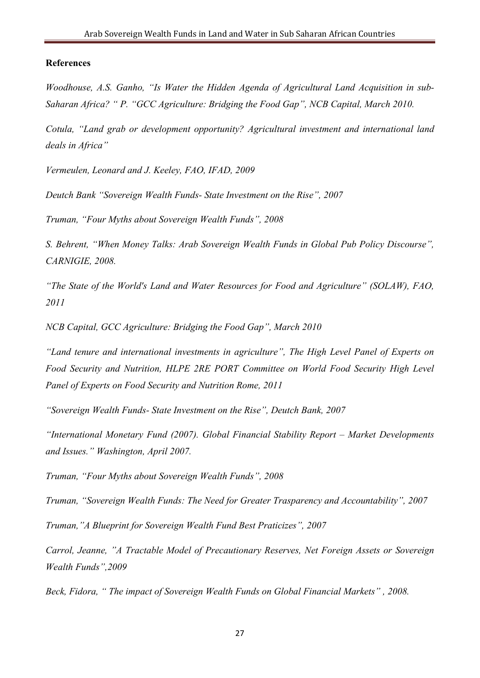#### **References**

*Woodhouse, A.S. Ganho, "Is Water the Hidden Agenda of Agricultural Land Acquisition in sub-Saharan Africa?* " P. "GCC Agriculture: Bridging the Food Gap", NCB Capital, March 2010.

*Cotula, "Land grab or development opportunity? Agricultural investment and international land deals in Africa"* 

*Vermeulen, Leonard and J. Keeley, FAO, IFAD, 2009* 

*Deutch Bank "Sovereign Wealth Funds- State Investment on the Rise", 2007* 

*Truman, "Four Myths about Sovereign Wealth Funds", 2008* 

*S. Behrent, "When Money Talks: Arab Sovereign Wealth Funds in Global Pub Policy Discourse", CAR/IGIE, 2008.* 

*"The State of the World's Land and Water Resources for Food and Agriculture" (SOLAW), FAO, 2011* 

*/CB Capital, GCC Agriculture: Bridging the Food Gap", March 2010* 

*"Land tenure and international investments in agriculture", The High Level Panel of Experts on Food Security and /utrition, HLPE 2RE PORT Committee on World Food Security High Level Panel of Experts on Food Security and Nutrition Rome, 2011* 

*"Sovereign Wealth Funds- State Investment on the Rise", Deutch Bank, 2007* 

*"International Monetary Fund (2007). Global Financial Stability Report – Market Developments and Issues." Washington, April 2007.* 

*Truman, "Four Myths about Sovereign Wealth Funds", 2008* 

*Truman, "Sovereign Wealth Funds: The /eed for Greater Trasparency and Accountability", 2007* 

*Truman,"A Blueprint for Sovereign Wealth Fund Best Praticizes", 2007* 

*Carrol, Jeanne, "A Tractable Model of Precautionary Reserves, Net Foreign Assets or Sovereign Wealth Funds",2009* 

*Beck, Fidora, " The impact of Sovereign Wealth Funds on Global Financial Markets" , 2008.*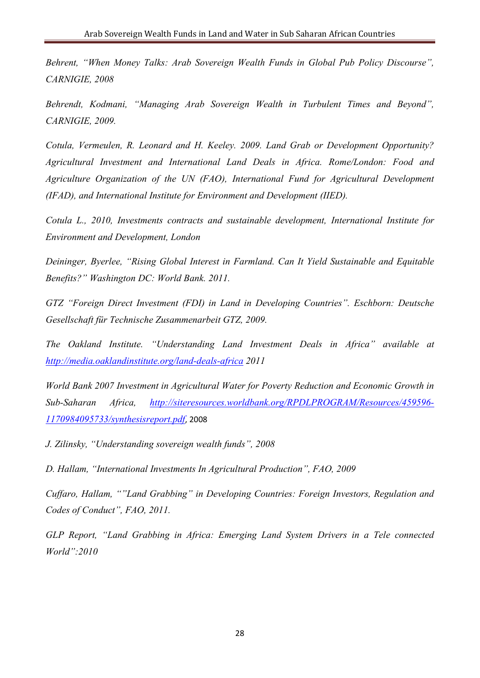*Behrent, "When Money Talks: Arab Sovereign Wealth Funds in Global Pub Policy Discourse", CAR/IGIE, 2008* 

*Behrendt, Kodmani, "Managing Arab Sovereign Wealth in Turbulent Times and Beyond", CAR/IGIE, 2009.* 

*Cotula, Vermeulen, R. Leonard and H. Keeley. 2009. Land Grab or Development Opportunity? Agricultural Investment and International Land Deals in Africa. Rome/London: Food and*  Agriculture Organization of the UN (FAO), International Fund for Agricultural Development *(IFAD), and International Institute for Environment and Development (IIED).* 

*Cotula L., 2010, Investments contracts and sustainable development, International Institute for Environment and Development, London* 

*Deininger, Byerlee, "Rising Global Interest in Farmland. Can It Yield Sustainable and Equitable Benefits?" Washington DC: World Bank. 2011.* 

*GTZ "Foreign Direct Investment (FDI) in Land in Developing Countries". Eschborn: Deutsche Gesellschaft für Technische Zusammenarbeit GTZ, 2009.* 

*The Oakland Institute. "Understanding Land Investment Deals in Africa" available at http://media.oaklandinstitute.org/land-deals-africa 2011* 

*World Bank 2007 Investment in Agricultural Water for Poverty Reduction and Economic Growth in Sub-Saharan Africa, http://siteresources.worldbank.org/RPDLPROGRAM/Resources/459596- 1170984095733/synthesisreport.pdf*, 2008

*J. Zilinsky, "Understanding sovereign wealth funds", 2008* 

*D. Hallam, "International Investments In Agricultural Production", FAO, 2009* 

*Cuffaro, Hallam, ""Land Grabbing" in Developing Countries: Foreign Investors, Regulation and Codes of Conduct", FAO, 2011.* 

*GLP Report, "Land Grabbing in Africa: Emerging Land System Drivers in a Tele connected World":2010*